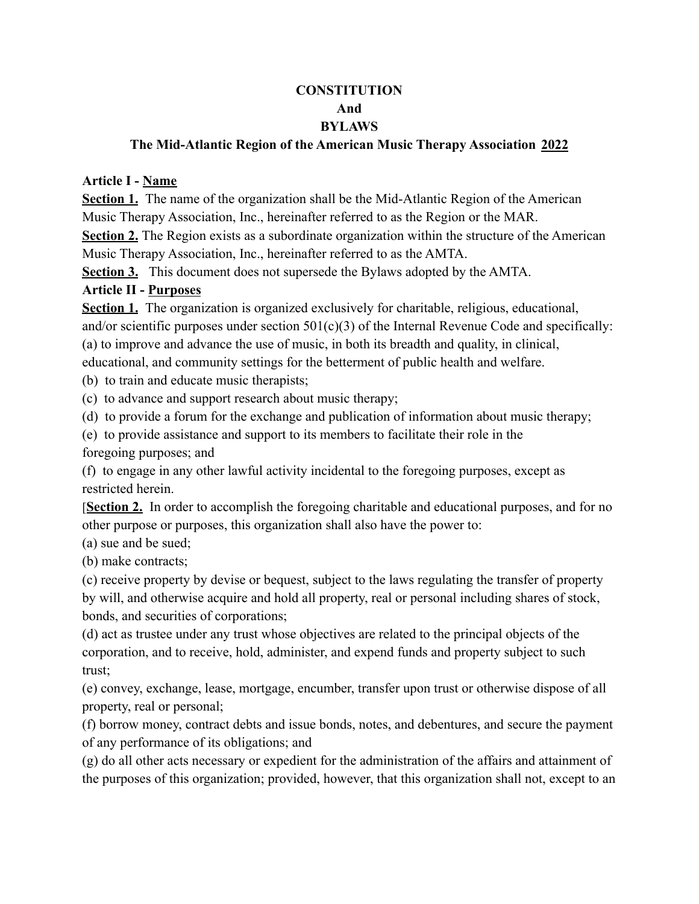## **CONSTITUTION And BYLAWS**

#### **The Mid-Atlantic Region of the American Music Therapy Association 2022**

#### **Article I - Name**

**Section 1.** The name of the organization shall be the Mid-Atlantic Region of the American Music Therapy Association, Inc., hereinafter referred to as the Region or the MAR.

**Section 2.** The Region exists as a subordinate organization within the structure of the American Music Therapy Association, Inc., hereinafter referred to as the AMTA.

**Section 3.** This document does not supersede the Bylaws adopted by the AMTA.

### **Article II - Purposes**

**Section 1.** The organization is organized exclusively for charitable, religious, educational, and/or scientific purposes under section  $501(c)(3)$  of the Internal Revenue Code and specifically: (a) to improve and advance the use of music, in both its breadth and quality, in clinical, educational, and community settings for the betterment of public health and welfare.

(b) to train and educate music therapists;

(c) to advance and support research about music therapy;

(d) to provide a forum for the exchange and publication of information about music therapy;

(e) to provide assistance and support to its members to facilitate their role in the

foregoing purposes; and

(f) to engage in any other lawful activity incidental to the foregoing purposes, except as restricted herein.

[**Section 2.** In order to accomplish the foregoing charitable and educational purposes, and for no other purpose or purposes, this organization shall also have the power to:

(a) sue and be sued;

(b) make contracts;

(c) receive property by devise or bequest, subject to the laws regulating the transfer of property by will, and otherwise acquire and hold all property, real or personal including shares of stock, bonds, and securities of corporations;

(d) act as trustee under any trust whose objectives are related to the principal objects of the corporation, and to receive, hold, administer, and expend funds and property subject to such trust;

(e) convey, exchange, lease, mortgage, encumber, transfer upon trust or otherwise dispose of all property, real or personal;

(f) borrow money, contract debts and issue bonds, notes, and debentures, and secure the payment of any performance of its obligations; and

(g) do all other acts necessary or expedient for the administration of the affairs and attainment of the purposes of this organization; provided, however, that this organization shall not, except to an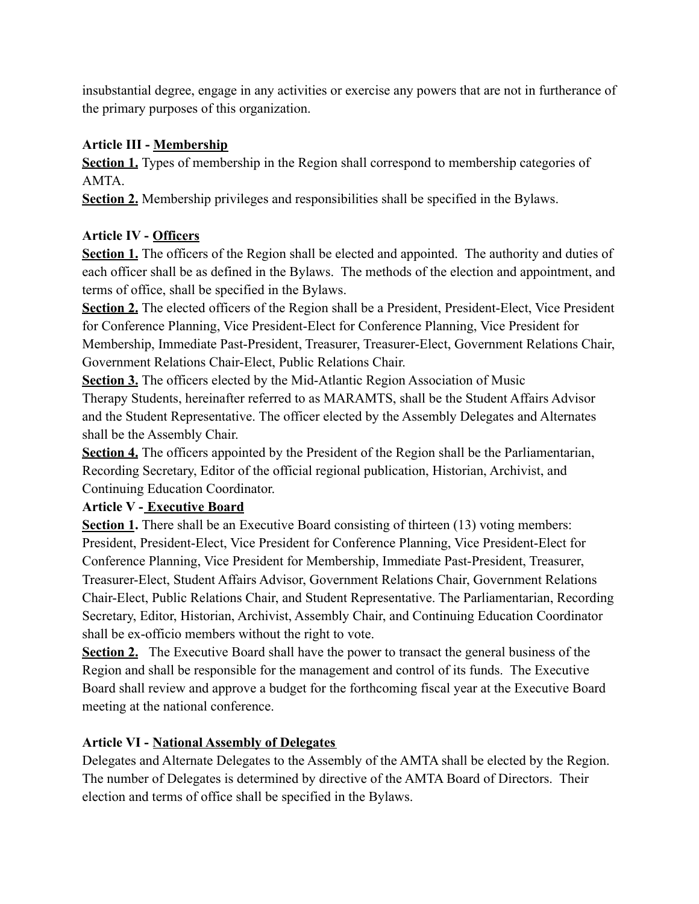insubstantial degree, engage in any activities or exercise any powers that are not in furtherance of the primary purposes of this organization.

# **Article III - Membership**

**Section 1.** Types of membership in the Region shall correspond to membership categories of AMTA.

**Section 2.** Membership privileges and responsibilities shall be specified in the Bylaws.

# **Article IV - Officers**

**Section 1.** The officers of the Region shall be elected and appointed. The authority and duties of each officer shall be as defined in the Bylaws. The methods of the election and appointment, and terms of office, shall be specified in the Bylaws.

**Section 2.** The elected officers of the Region shall be a President, President-Elect, Vice President for Conference Planning, Vice President-Elect for Conference Planning, Vice President for Membership, Immediate Past-President, Treasurer, Treasurer-Elect, Government Relations Chair, Government Relations Chair-Elect, Public Relations Chair.

**Section 3.** The officers elected by the Mid-Atlantic Region Association of Music Therapy Students, hereinafter referred to as MARAMTS, shall be the Student Affairs Advisor and the Student Representative. The officer elected by the Assembly Delegates and Alternates shall be the Assembly Chair.

**Section 4.** The officers appointed by the President of the Region shall be the Parliamentarian, Recording Secretary, Editor of the official regional publication, Historian, Archivist, and Continuing Education Coordinator.

# **Article V - Executive Board**

**Section 1.** There shall be an Executive Board consisting of thirteen (13) voting members: President, President-Elect, Vice President for Conference Planning, Vice President-Elect for Conference Planning, Vice President for Membership, Immediate Past-President, Treasurer, Treasurer-Elect, Student Affairs Advisor, Government Relations Chair, Government Relations Chair-Elect, Public Relations Chair, and Student Representative. The Parliamentarian, Recording Secretary, Editor, Historian, Archivist, Assembly Chair, and Continuing Education Coordinator shall be ex-officio members without the right to vote.

**Section 2.** The Executive Board shall have the power to transact the general business of the Region and shall be responsible for the management and control of its funds. The Executive Board shall review and approve a budget for the forthcoming fiscal year at the Executive Board meeting at the national conference.

# **Article VI - National Assembly of Delegates**

Delegates and Alternate Delegates to the Assembly of the AMTA shall be elected by the Region. The number of Delegates is determined by directive of the AMTA Board of Directors. Their election and terms of office shall be specified in the Bylaws.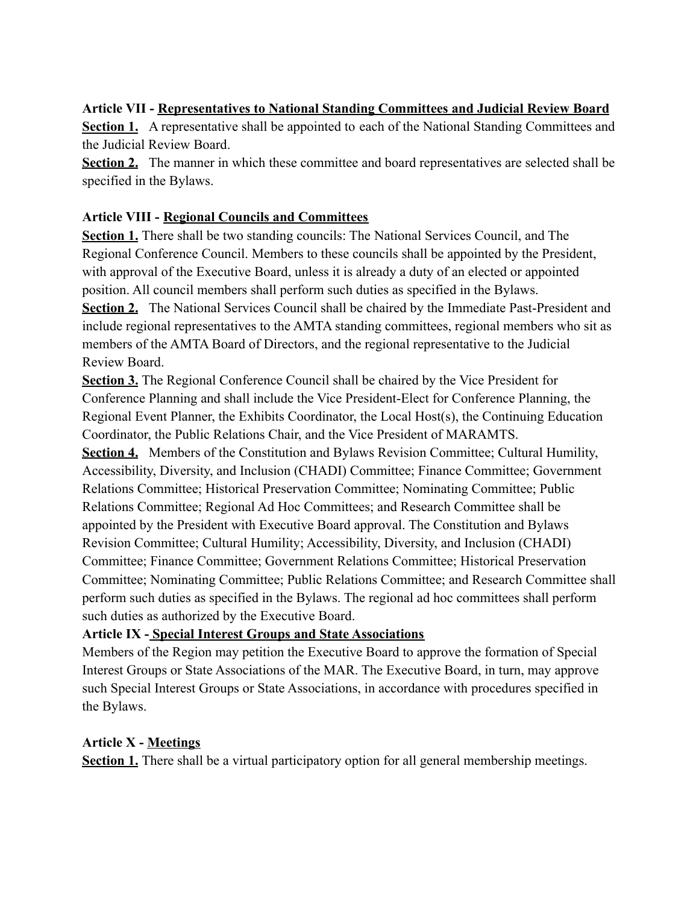### **Article VII - Representatives to National Standing Committees and Judicial Review Board**

**Section 1.** A representative shall be appointed to each of the National Standing Committees and the Judicial Review Board.

**Section 2.** The manner in which these committee and board representatives are selected shall be specified in the Bylaws.

### **Article VIII - Regional Councils and Committees**

**Section 1.** There shall be two standing councils: The National Services Council, and The Regional Conference Council. Members to these councils shall be appointed by the President, with approval of the Executive Board, unless it is already a duty of an elected or appointed position. All council members shall perform such duties as specified in the Bylaws.

**Section 2.** The National Services Council shall be chaired by the Immediate Past-President and include regional representatives to the AMTA standing committees, regional members who sit as members of the AMTA Board of Directors, and the regional representative to the Judicial Review Board.

**Section 3.** The Regional Conference Council shall be chaired by the Vice President for Conference Planning and shall include the Vice President-Elect for Conference Planning, the Regional Event Planner, the Exhibits Coordinator, the Local Host(s), the Continuing Education Coordinator, the Public Relations Chair, and the Vice President of MARAMTS.

**Section 4.** Members of the Constitution and Bylaws Revision Committee; Cultural Humility, Accessibility, Diversity, and Inclusion (CHADI) Committee; Finance Committee; Government Relations Committee; Historical Preservation Committee; Nominating Committee; Public Relations Committee; Regional Ad Hoc Committees; and Research Committee shall be appointed by the President with Executive Board approval. The Constitution and Bylaws Revision Committee; Cultural Humility; Accessibility, Diversity, and Inclusion (CHADI) Committee; Finance Committee; Government Relations Committee; Historical Preservation Committee; Nominating Committee; Public Relations Committee; and Research Committee shall perform such duties as specified in the Bylaws. The regional ad hoc committees shall perform such duties as authorized by the Executive Board.

## **Article IX - Special Interest Groups and State Associations**

Members of the Region may petition the Executive Board to approve the formation of Special Interest Groups or State Associations of the MAR. The Executive Board, in turn, may approve such Special Interest Groups or State Associations, in accordance with procedures specified in the Bylaws.

### **Article X - Meetings**

**Section 1.** There shall be a virtual participatory option for all general membership meetings.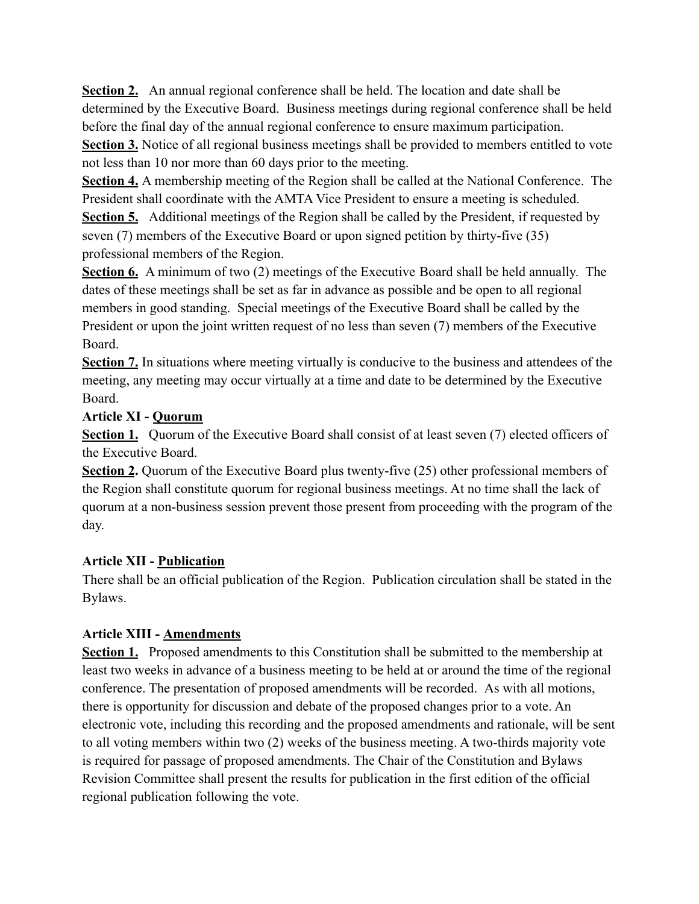**Section 2.** An annual regional conference shall be held. The location and date shall be determined by the Executive Board. Business meetings during regional conference shall be held before the final day of the annual regional conference to ensure maximum participation.

**Section 3.** Notice of all regional business meetings shall be provided to members entitled to vote not less than 10 nor more than 60 days prior to the meeting.

**Section 4.** A membership meeting of the Region shall be called at the National Conference. The President shall coordinate with the AMTA Vice President to ensure a meeting is scheduled.

**Section 5.** Additional meetings of the Region shall be called by the President, if requested by seven (7) members of the Executive Board or upon signed petition by thirty-five (35) professional members of the Region.

**Section 6.** A minimum of two (2) meetings of the Executive Board shall be held annually. The dates of these meetings shall be set as far in advance as possible and be open to all regional members in good standing. Special meetings of the Executive Board shall be called by the President or upon the joint written request of no less than seven (7) members of the Executive Board.

**Section 7.** In situations where meeting virtually is conducive to the business and attendees of the meeting, any meeting may occur virtually at a time and date to be determined by the Executive Board.

## **Article XI - Quorum**

**Section 1.** Quorum of the Executive Board shall consist of at least seven (7) elected officers of the Executive Board.

**Section 2.** Quorum of the Executive Board plus twenty-five (25) other professional members of the Region shall constitute quorum for regional business meetings. At no time shall the lack of quorum at a non-business session prevent those present from proceeding with the program of the day.

# **Article XII - Publication**

There shall be an official publication of the Region. Publication circulation shall be stated in the Bylaws.

# **Article XIII - Amendments**

**Section 1.** Proposed amendments to this Constitution shall be submitted to the membership at least two weeks in advance of a business meeting to be held at or around the time of the regional conference. The presentation of proposed amendments will be recorded. As with all motions, there is opportunity for discussion and debate of the proposed changes prior to a vote. An electronic vote, including this recording and the proposed amendments and rationale, will be sent to all voting members within two (2) weeks of the business meeting. A two-thirds majority vote is required for passage of proposed amendments. The Chair of the Constitution and Bylaws Revision Committee shall present the results for publication in the first edition of the official regional publication following the vote.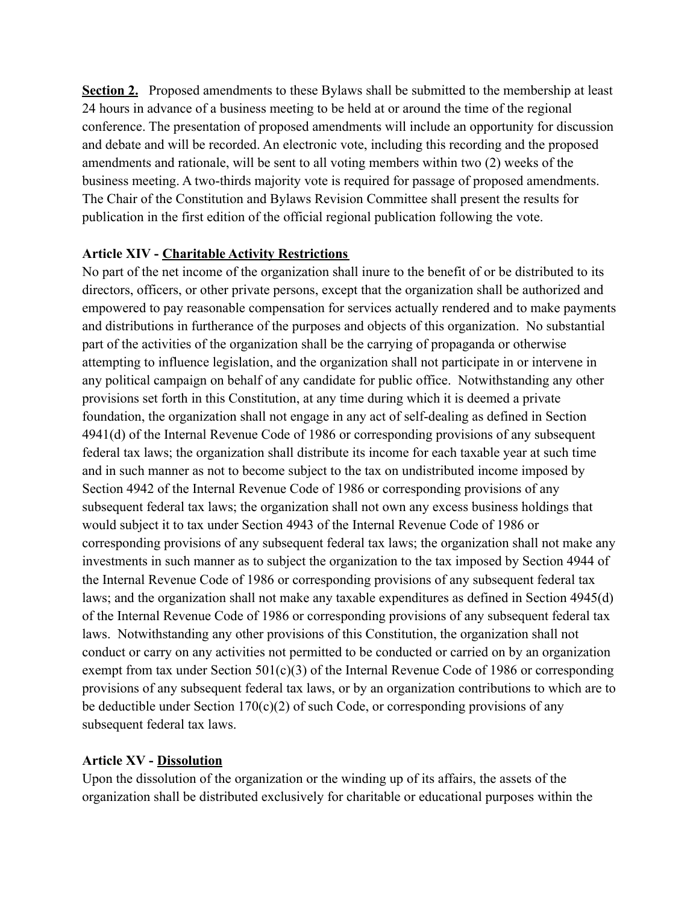**Section 2.** Proposed amendments to these Bylaws shall be submitted to the membership at least 24 hours in advance of a business meeting to be held at or around the time of the regional conference. The presentation of proposed amendments will include an opportunity for discussion and debate and will be recorded. An electronic vote, including this recording and the proposed amendments and rationale, will be sent to all voting members within two (2) weeks of the business meeting. A two-thirds majority vote is required for passage of proposed amendments. The Chair of the Constitution and Bylaws Revision Committee shall present the results for publication in the first edition of the official regional publication following the vote.

### **Article XIV - Charitable Activity Restrictions**

No part of the net income of the organization shall inure to the benefit of or be distributed to its directors, officers, or other private persons, except that the organization shall be authorized and empowered to pay reasonable compensation for services actually rendered and to make payments and distributions in furtherance of the purposes and objects of this organization. No substantial part of the activities of the organization shall be the carrying of propaganda or otherwise attempting to influence legislation, and the organization shall not participate in or intervene in any political campaign on behalf of any candidate for public office. Notwithstanding any other provisions set forth in this Constitution, at any time during which it is deemed a private foundation, the organization shall not engage in any act of self-dealing as defined in Section 4941(d) of the Internal Revenue Code of 1986 or corresponding provisions of any subsequent federal tax laws; the organization shall distribute its income for each taxable year at such time and in such manner as not to become subject to the tax on undistributed income imposed by Section 4942 of the Internal Revenue Code of 1986 or corresponding provisions of any subsequent federal tax laws; the organization shall not own any excess business holdings that would subject it to tax under Section 4943 of the Internal Revenue Code of 1986 or corresponding provisions of any subsequent federal tax laws; the organization shall not make any investments in such manner as to subject the organization to the tax imposed by Section 4944 of the Internal Revenue Code of 1986 or corresponding provisions of any subsequent federal tax laws; and the organization shall not make any taxable expenditures as defined in Section 4945(d) of the Internal Revenue Code of 1986 or corresponding provisions of any subsequent federal tax laws. Notwithstanding any other provisions of this Constitution, the organization shall not conduct or carry on any activities not permitted to be conducted or carried on by an organization exempt from tax under Section 501(c)(3) of the Internal Revenue Code of 1986 or corresponding provisions of any subsequent federal tax laws, or by an organization contributions to which are to be deductible under Section  $170(c)(2)$  of such Code, or corresponding provisions of any subsequent federal tax laws.

### **Article XV - Dissolution**

Upon the dissolution of the organization or the winding up of its affairs, the assets of the organization shall be distributed exclusively for charitable or educational purposes within the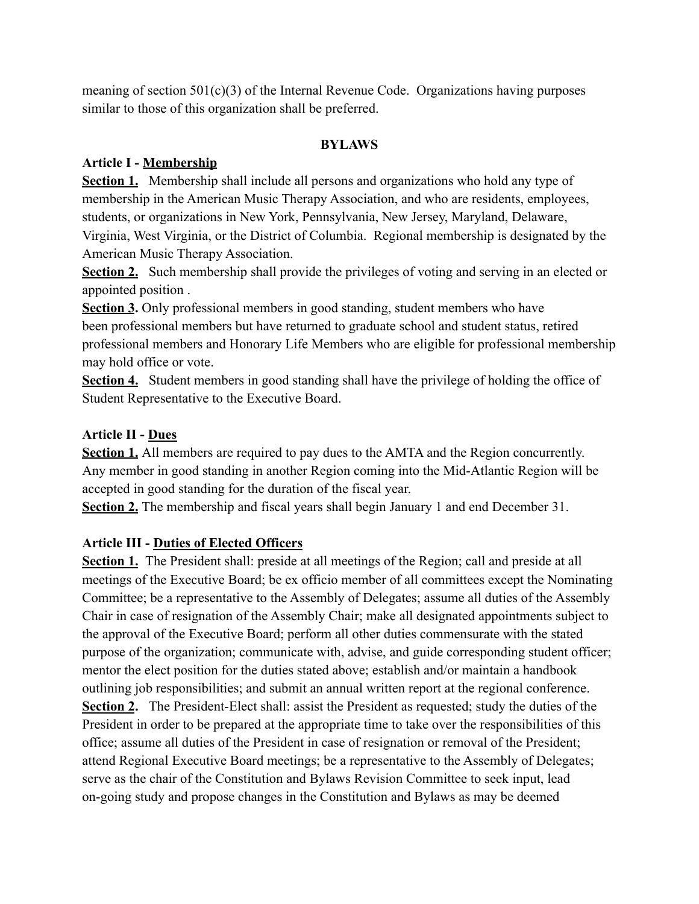meaning of section  $501(c)(3)$  of the Internal Revenue Code. Organizations having purposes similar to those of this organization shall be preferred.

### **BYLAWS**

### **Article I - Membership**

**Section 1.** Membership shall include all persons and organizations who hold any type of membership in the American Music Therapy Association, and who are residents, employees, students, or organizations in New York, Pennsylvania, New Jersey, Maryland, Delaware, Virginia, West Virginia, or the District of Columbia. Regional membership is designated by the American Music Therapy Association.

**Section 2.** Such membership shall provide the privileges of voting and serving in an elected or appointed position .

**Section 3.** Only professional members in good standing, student members who have been professional members but have returned to graduate school and student status, retired professional members and Honorary Life Members who are eligible for professional membership may hold office or vote.

**Section 4.** Student members in good standing shall have the privilege of holding the office of Student Representative to the Executive Board.

## **Article II - Dues**

**Section 1.** All members are required to pay dues to the AMTA and the Region concurrently. Any member in good standing in another Region coming into the Mid-Atlantic Region will be accepted in good standing for the duration of the fiscal year.

**Section 2.** The membership and fiscal years shall begin January 1 and end December 31.

## **Article III - Duties of Elected Officers**

**Section 1.** The President shall: preside at all meetings of the Region; call and preside at all meetings of the Executive Board; be ex officio member of all committees except the Nominating Committee; be a representative to the Assembly of Delegates; assume all duties of the Assembly Chair in case of resignation of the Assembly Chair; make all designated appointments subject to the approval of the Executive Board; perform all other duties commensurate with the stated purpose of the organization; communicate with, advise, and guide corresponding student officer; mentor the elect position for the duties stated above; establish and/or maintain a handbook outlining job responsibilities; and submit an annual written report at the regional conference. **Section 2.** The President-Elect shall: assist the President as requested; study the duties of the President in order to be prepared at the appropriate time to take over the responsibilities of this office; assume all duties of the President in case of resignation or removal of the President; attend Regional Executive Board meetings; be a representative to the Assembly of Delegates; serve as the chair of the Constitution and Bylaws Revision Committee to seek input, lead on-going study and propose changes in the Constitution and Bylaws as may be deemed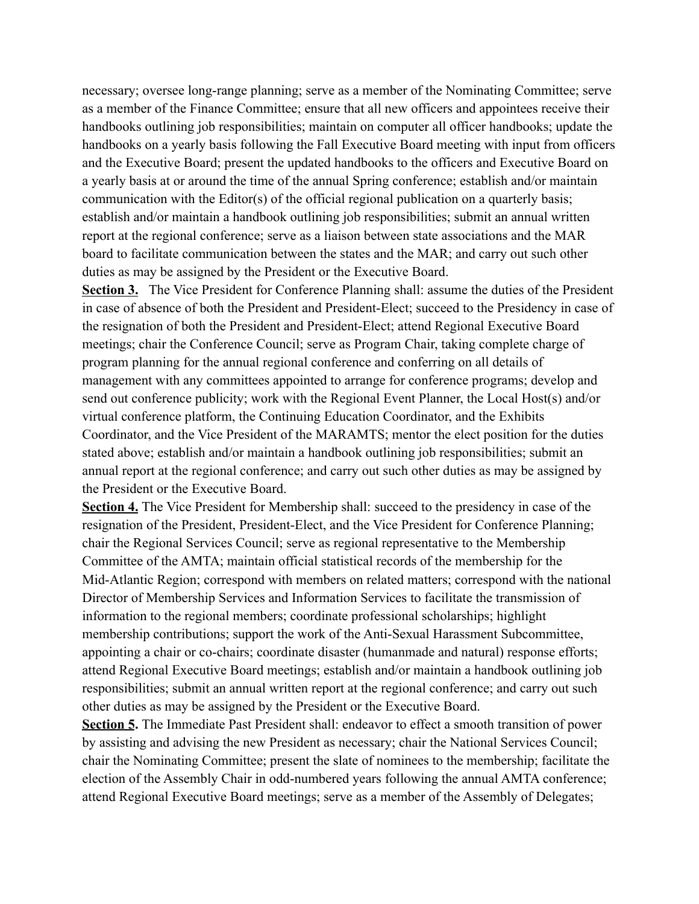necessary; oversee long-range planning; serve as a member of the Nominating Committee; serve as a member of the Finance Committee; ensure that all new officers and appointees receive their handbooks outlining job responsibilities; maintain on computer all officer handbooks; update the handbooks on a yearly basis following the Fall Executive Board meeting with input from officers and the Executive Board; present the updated handbooks to the officers and Executive Board on a yearly basis at or around the time of the annual Spring conference; establish and/or maintain communication with the Editor(s) of the official regional publication on a quarterly basis; establish and/or maintain a handbook outlining job responsibilities; submit an annual written report at the regional conference; serve as a liaison between state associations and the MAR board to facilitate communication between the states and the MAR; and carry out such other duties as may be assigned by the President or the Executive Board.

**Section 3.** The Vice President for Conference Planning shall: assume the duties of the President in case of absence of both the President and President-Elect; succeed to the Presidency in case of the resignation of both the President and President-Elect; attend Regional Executive Board meetings; chair the Conference Council; serve as Program Chair, taking complete charge of program planning for the annual regional conference and conferring on all details of management with any committees appointed to arrange for conference programs; develop and send out conference publicity; work with the Regional Event Planner, the Local Host(s) and/or virtual conference platform, the Continuing Education Coordinator, and the Exhibits Coordinator, and the Vice President of the MARAMTS; mentor the elect position for the duties stated above; establish and/or maintain a handbook outlining job responsibilities; submit an annual report at the regional conference; and carry out such other duties as may be assigned by the President or the Executive Board.

**Section 4.** The Vice President for Membership shall: succeed to the presidency in case of the resignation of the President, President-Elect, and the Vice President for Conference Planning; chair the Regional Services Council; serve as regional representative to the Membership Committee of the AMTA; maintain official statistical records of the membership for the Mid-Atlantic Region; correspond with members on related matters; correspond with the national Director of Membership Services and Information Services to facilitate the transmission of information to the regional members; coordinate professional scholarships; highlight membership contributions; support the work of the Anti-Sexual Harassment Subcommittee, appointing a chair or co-chairs; coordinate disaster (humanmade and natural) response efforts; attend Regional Executive Board meetings; establish and/or maintain a handbook outlining job responsibilities; submit an annual written report at the regional conference; and carry out such other duties as may be assigned by the President or the Executive Board.

**Section 5.** The Immediate Past President shall: endeavor to effect a smooth transition of power by assisting and advising the new President as necessary; chair the National Services Council; chair the Nominating Committee; present the slate of nominees to the membership; facilitate the election of the Assembly Chair in odd-numbered years following the annual AMTA conference; attend Regional Executive Board meetings; serve as a member of the Assembly of Delegates;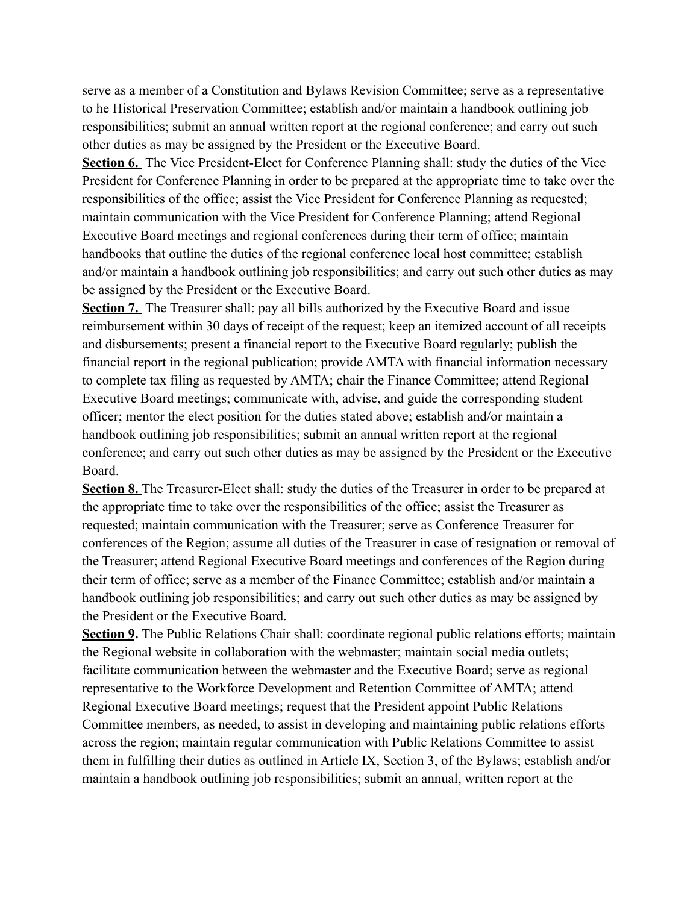serve as a member of a Constitution and Bylaws Revision Committee; serve as a representative to he Historical Preservation Committee; establish and/or maintain a handbook outlining job responsibilities; submit an annual written report at the regional conference; and carry out such other duties as may be assigned by the President or the Executive Board.

**Section 6.** The Vice President-Elect for Conference Planning shall: study the duties of the Vice President for Conference Planning in order to be prepared at the appropriate time to take over the responsibilities of the office; assist the Vice President for Conference Planning as requested; maintain communication with the Vice President for Conference Planning; attend Regional Executive Board meetings and regional conferences during their term of office; maintain handbooks that outline the duties of the regional conference local host committee; establish and/or maintain a handbook outlining job responsibilities; and carry out such other duties as may be assigned by the President or the Executive Board.

**Section 7.** The Treasurer shall: pay all bills authorized by the Executive Board and issue reimbursement within 30 days of receipt of the request; keep an itemized account of all receipts and disbursements; present a financial report to the Executive Board regularly; publish the financial report in the regional publication; provide AMTA with financial information necessary to complete tax filing as requested by AMTA; chair the Finance Committee; attend Regional Executive Board meetings; communicate with, advise, and guide the corresponding student officer; mentor the elect position for the duties stated above; establish and/or maintain a handbook outlining job responsibilities; submit an annual written report at the regional conference; and carry out such other duties as may be assigned by the President or the Executive Board.

**Section 8.** The Treasurer-Elect shall: study the duties of the Treasurer in order to be prepared at the appropriate time to take over the responsibilities of the office; assist the Treasurer as requested; maintain communication with the Treasurer; serve as Conference Treasurer for conferences of the Region; assume all duties of the Treasurer in case of resignation or removal of the Treasurer; attend Regional Executive Board meetings and conferences of the Region during their term of office; serve as a member of the Finance Committee; establish and/or maintain a handbook outlining job responsibilities; and carry out such other duties as may be assigned by the President or the Executive Board.

**Section 9.** The Public Relations Chair shall: coordinate regional public relations efforts; maintain the Regional website in collaboration with the webmaster; maintain social media outlets; facilitate communication between the webmaster and the Executive Board; serve as regional representative to the Workforce Development and Retention Committee of AMTA; attend Regional Executive Board meetings; request that the President appoint Public Relations Committee members, as needed, to assist in developing and maintaining public relations efforts across the region; maintain regular communication with Public Relations Committee to assist them in fulfilling their duties as outlined in Article IX, Section 3, of the Bylaws; establish and/or maintain a handbook outlining job responsibilities; submit an annual, written report at the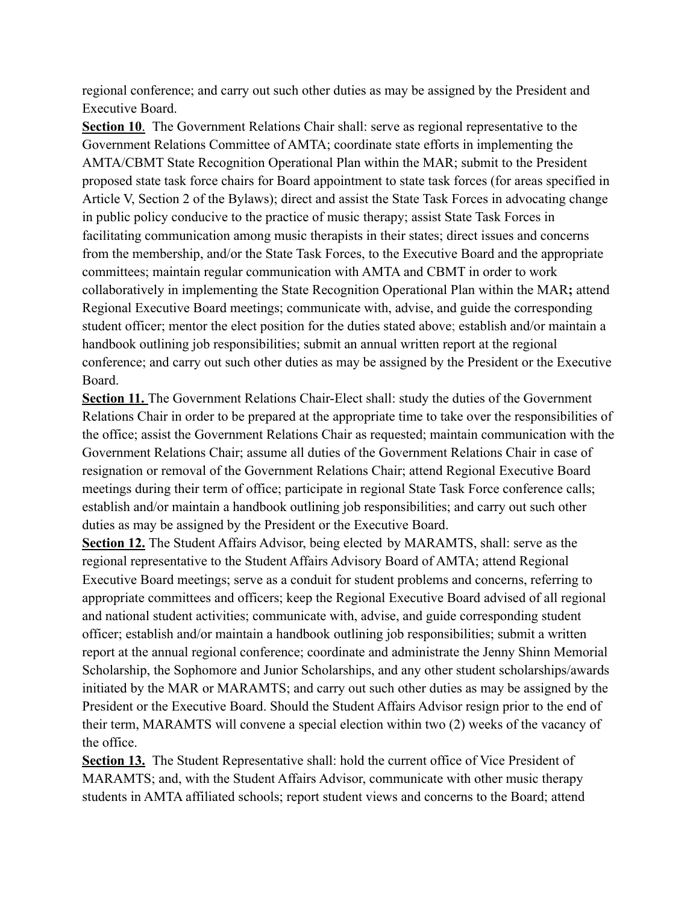regional conference; and carry out such other duties as may be assigned by the President and Executive Board.

**Section 10**. The Government Relations Chair shall: serve as regional representative to the Government Relations Committee of AMTA; coordinate state efforts in implementing the AMTA/CBMT State Recognition Operational Plan within the MAR; submit to the President proposed state task force chairs for Board appointment to state task forces (for areas specified in Article V, Section 2 of the Bylaws); direct and assist the State Task Forces in advocating change in public policy conducive to the practice of music therapy; assist State Task Forces in facilitating communication among music therapists in their states; direct issues and concerns from the membership, and/or the State Task Forces, to the Executive Board and the appropriate committees; maintain regular communication with AMTA and CBMT in order to work collaboratively in implementing the State Recognition Operational Plan within the MAR**;** attend Regional Executive Board meetings; communicate with, advise, and guide the corresponding student officer; mentor the elect position for the duties stated above; establish and/or maintain a handbook outlining job responsibilities; submit an annual written report at the regional conference; and carry out such other duties as may be assigned by the President or the Executive Board.

**Section 11.** The Government Relations Chair-Elect shall: study the duties of the Government Relations Chair in order to be prepared at the appropriate time to take over the responsibilities of the office; assist the Government Relations Chair as requested; maintain communication with the Government Relations Chair; assume all duties of the Government Relations Chair in case of resignation or removal of the Government Relations Chair; attend Regional Executive Board meetings during their term of office; participate in regional State Task Force conference calls; establish and/or maintain a handbook outlining job responsibilities; and carry out such other duties as may be assigned by the President or the Executive Board.

**Section 12.** The Student Affairs Advisor, being elected by MARAMTS, shall: serve as the regional representative to the Student Affairs Advisory Board of AMTA; attend Regional Executive Board meetings; serve as a conduit for student problems and concerns, referring to appropriate committees and officers; keep the Regional Executive Board advised of all regional and national student activities; communicate with, advise, and guide corresponding student officer; establish and/or maintain a handbook outlining job responsibilities; submit a written report at the annual regional conference; coordinate and administrate the Jenny Shinn Memorial Scholarship, the Sophomore and Junior Scholarships, and any other student scholarships/awards initiated by the MAR or MARAMTS; and carry out such other duties as may be assigned by the President or the Executive Board. Should the Student Affairs Advisor resign prior to the end of their term, MARAMTS will convene a special election within two (2) weeks of the vacancy of the office.

**Section 13.** The Student Representative shall: hold the current office of Vice President of MARAMTS; and, with the Student Affairs Advisor, communicate with other music therapy students in AMTA affiliated schools; report student views and concerns to the Board; attend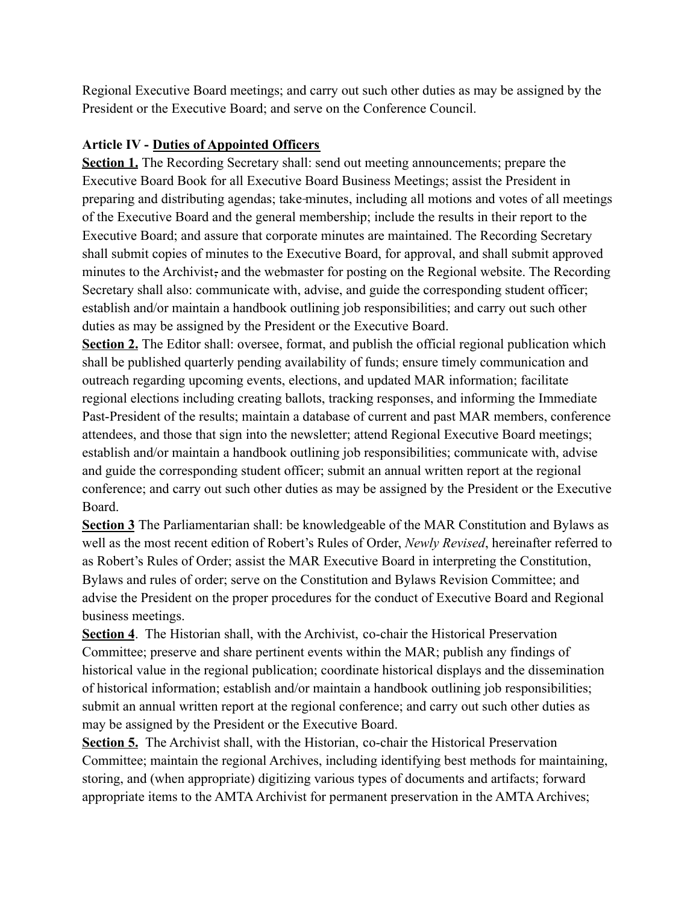Regional Executive Board meetings; and carry out such other duties as may be assigned by the President or the Executive Board; and serve on the Conference Council.

## **Article IV - Duties of Appointed Officers**

**Section 1.** The Recording Secretary shall: send out meeting announcements; prepare the Executive Board Book for all Executive Board Business Meetings; assist the President in preparing and distributing agendas; take minutes, including all motions and votes of all meetings of the Executive Board and the general membership; include the results in their report to the Executive Board; and assure that corporate minutes are maintained. The Recording Secretary shall submit copies of minutes to the Executive Board, for approval, and shall submit approved minutes to the Archivist, and the webmaster for posting on the Regional website. The Recording Secretary shall also: communicate with, advise, and guide the corresponding student officer; establish and/or maintain a handbook outlining job responsibilities; and carry out such other duties as may be assigned by the President or the Executive Board.

**Section 2.** The Editor shall: oversee, format, and publish the official regional publication which shall be published quarterly pending availability of funds; ensure timely communication and outreach regarding upcoming events, elections, and updated MAR information; facilitate regional elections including creating ballots, tracking responses, and informing the Immediate Past-President of the results; maintain a database of current and past MAR members, conference attendees, and those that sign into the newsletter; attend Regional Executive Board meetings; establish and/or maintain a handbook outlining job responsibilities; communicate with, advise and guide the corresponding student officer; submit an annual written report at the regional conference; and carry out such other duties as may be assigned by the President or the Executive Board.

**Section 3** The Parliamentarian shall: be knowledgeable of the MAR Constitution and Bylaws as well as the most recent edition of Robert's Rules of Order, *Newly Revised*, hereinafter referred to as Robert's Rules of Order; assist the MAR Executive Board in interpreting the Constitution, Bylaws and rules of order; serve on the Constitution and Bylaws Revision Committee; and advise the President on the proper procedures for the conduct of Executive Board and Regional business meetings.

**Section 4**. The Historian shall, with the Archivist, co-chair the Historical Preservation Committee; preserve and share pertinent events within the MAR; publish any findings of historical value in the regional publication; coordinate historical displays and the dissemination of historical information; establish and/or maintain a handbook outlining job responsibilities; submit an annual written report at the regional conference; and carry out such other duties as may be assigned by the President or the Executive Board.

**Section 5.** The Archivist shall, with the Historian, co-chair the Historical Preservation Committee; maintain the regional Archives, including identifying best methods for maintaining, storing, and (when appropriate) digitizing various types of documents and artifacts; forward appropriate items to the AMTA Archivist for permanent preservation in the AMTA Archives;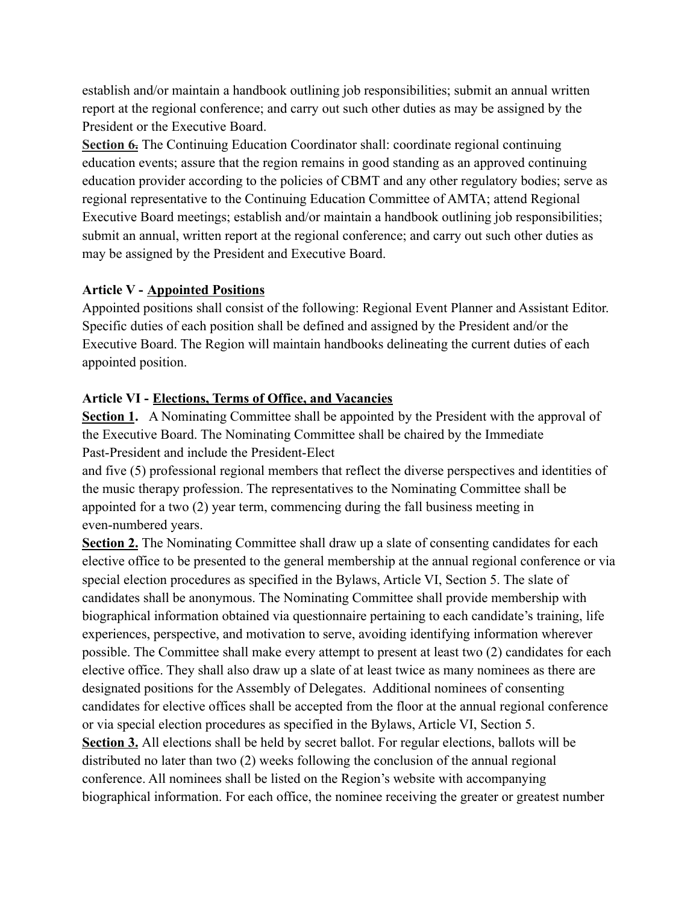establish and/or maintain a handbook outlining job responsibilities; submit an annual written report at the regional conference; and carry out such other duties as may be assigned by the President or the Executive Board.

**Section 6.** The Continuing Education Coordinator shall: coordinate regional continuing education events; assure that the region remains in good standing as an approved continuing education provider according to the policies of CBMT and any other regulatory bodies; serve as regional representative to the Continuing Education Committee of AMTA; attend Regional Executive Board meetings; establish and/or maintain a handbook outlining job responsibilities; submit an annual, written report at the regional conference; and carry out such other duties as may be assigned by the President and Executive Board.

### **Article V - Appointed Positions**

Appointed positions shall consist of the following: Regional Event Planner and Assistant Editor. Specific duties of each position shall be defined and assigned by the President and/or the Executive Board. The Region will maintain handbooks delineating the current duties of each appointed position.

## **Article VI - Elections, Terms of Office, and Vacancies**

**Section 1.** A Nominating Committee shall be appointed by the President with the approval of the Executive Board. The Nominating Committee shall be chaired by the Immediate Past-President and include the President-Elect

and five (5) professional regional members that reflect the diverse perspectives and identities of the music therapy profession. The representatives to the Nominating Committee shall be appointed for a two (2) year term, commencing during the fall business meeting in even-numbered years.

**Section 2.** The Nominating Committee shall draw up a slate of consenting candidates for each elective office to be presented to the general membership at the annual regional conference or via special election procedures as specified in the Bylaws, Article VI, Section 5. The slate of candidates shall be anonymous. The Nominating Committee shall provide membership with biographical information obtained via questionnaire pertaining to each candidate's training, life experiences, perspective, and motivation to serve, avoiding identifying information wherever possible. The Committee shall make every attempt to present at least two (2) candidates for each elective office. They shall also draw up a slate of at least twice as many nominees as there are designated positions for the Assembly of Delegates. Additional nominees of consenting candidates for elective offices shall be accepted from the floor at the annual regional conference or via special election procedures as specified in the Bylaws, Article VI, Section 5.

**Section 3.** All elections shall be held by secret ballot. For regular elections, ballots will be distributed no later than two (2) weeks following the conclusion of the annual regional conference. All nominees shall be listed on the Region's website with accompanying biographical information. For each office, the nominee receiving the greater or greatest number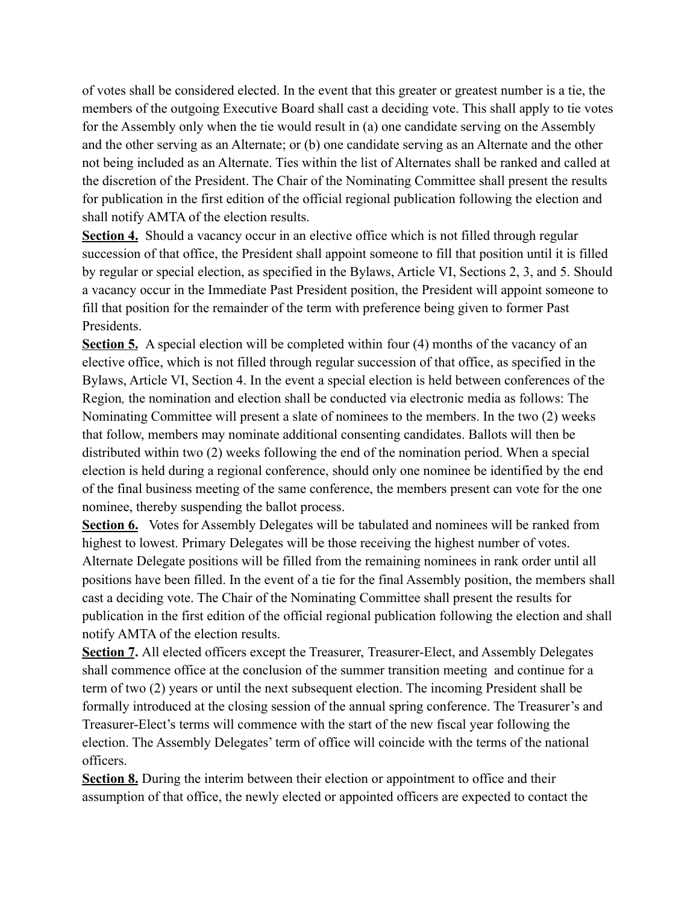of votes shall be considered elected. In the event that this greater or greatest number is a tie, the members of the outgoing Executive Board shall cast a deciding vote. This shall apply to tie votes for the Assembly only when the tie would result in (a) one candidate serving on the Assembly and the other serving as an Alternate; or (b) one candidate serving as an Alternate and the other not being included as an Alternate. Ties within the list of Alternates shall be ranked and called at the discretion of the President. The Chair of the Nominating Committee shall present the results for publication in the first edition of the official regional publication following the election and shall notify AMTA of the election results.

**Section 4.** Should a vacancy occur in an elective office which is not filled through regular succession of that office, the President shall appoint someone to fill that position until it is filled by regular or special election, as specified in the Bylaws, Article VI, Sections 2, 3, and 5. Should a vacancy occur in the Immediate Past President position, the President will appoint someone to fill that position for the remainder of the term with preference being given to former Past Presidents.

**Section 5.** A special election will be completed within four (4) months of the vacancy of an elective office, which is not filled through regular succession of that office, as specified in the Bylaws, Article VI, Section 4. In the event a special election is held between conferences of the Region*,* the nomination and election shall be conducted via electronic media as follows: The Nominating Committee will present a slate of nominees to the members. In the two (2) weeks that follow, members may nominate additional consenting candidates. Ballots will then be distributed within two (2) weeks following the end of the nomination period. When a special election is held during a regional conference, should only one nominee be identified by the end of the final business meeting of the same conference, the members present can vote for the one nominee, thereby suspending the ballot process.

**Section 6.** Votes for Assembly Delegates will be tabulated and nominees will be ranked from highest to lowest. Primary Delegates will be those receiving the highest number of votes. Alternate Delegate positions will be filled from the remaining nominees in rank order until all positions have been filled. In the event of a tie for the final Assembly position, the members shall cast a deciding vote. The Chair of the Nominating Committee shall present the results for publication in the first edition of the official regional publication following the election and shall notify AMTA of the election results.

**Section 7.** All elected officers except the Treasurer, Treasurer-Elect, and Assembly Delegates shall commence office at the conclusion of the summer transition meeting and continue for a term of two (2) years or until the next subsequent election. The incoming President shall be formally introduced at the closing session of the annual spring conference. The Treasurer's and Treasurer-Elect's terms will commence with the start of the new fiscal year following the election. The Assembly Delegates' term of office will coincide with the terms of the national officers.

**Section 8.** During the interim between their election or appointment to office and their assumption of that office, the newly elected or appointed officers are expected to contact the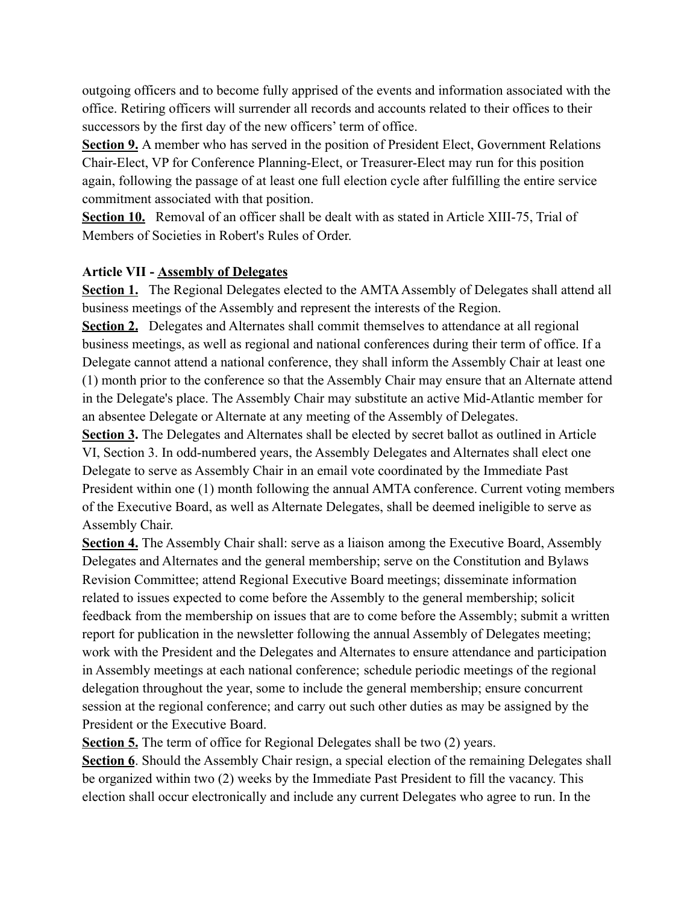outgoing officers and to become fully apprised of the events and information associated with the office. Retiring officers will surrender all records and accounts related to their offices to their successors by the first day of the new officers' term of office.

**Section 9.** A member who has served in the position of President Elect, Government Relations Chair-Elect, VP for Conference Planning-Elect, or Treasurer-Elect may run for this position again, following the passage of at least one full election cycle after fulfilling the entire service commitment associated with that position.

**Section 10.** Removal of an officer shall be dealt with as stated in Article XIII-75, Trial of Members of Societies in Robert's Rules of Order.

### **Article VII - Assembly of Delegates**

**Section 1.** The Regional Delegates elected to the AMTA Assembly of Delegates shall attend all business meetings of the Assembly and represent the interests of the Region.

**Section 2.** Delegates and Alternates shall commit themselves to attendance at all regional business meetings, as well as regional and national conferences during their term of office. If a Delegate cannot attend a national conference, they shall inform the Assembly Chair at least one (1) month prior to the conference so that the Assembly Chair may ensure that an Alternate attend in the Delegate's place. The Assembly Chair may substitute an active Mid-Atlantic member for an absentee Delegate or Alternate at any meeting of the Assembly of Delegates.

**Section 3.** The Delegates and Alternates shall be elected by secret ballot as outlined in Article VI, Section 3. In odd-numbered years, the Assembly Delegates and Alternates shall elect one Delegate to serve as Assembly Chair in an email vote coordinated by the Immediate Past President within one (1) month following the annual AMTA conference. Current voting members of the Executive Board, as well as Alternate Delegates, shall be deemed ineligible to serve as Assembly Chair.

**Section 4.** The Assembly Chair shall: serve as a liaison among the Executive Board, Assembly Delegates and Alternates and the general membership; serve on the Constitution and Bylaws Revision Committee; attend Regional Executive Board meetings; disseminate information related to issues expected to come before the Assembly to the general membership; solicit feedback from the membership on issues that are to come before the Assembly; submit a written report for publication in the newsletter following the annual Assembly of Delegates meeting; work with the President and the Delegates and Alternates to ensure attendance and participation in Assembly meetings at each national conference; schedule periodic meetings of the regional delegation throughout the year, some to include the general membership; ensure concurrent session at the regional conference; and carry out such other duties as may be assigned by the President or the Executive Board.

**Section 5.** The term of office for Regional Delegates shall be two (2) years.

**Section 6.** Should the Assembly Chair resign, a special election of the remaining Delegates shall be organized within two (2) weeks by the Immediate Past President to fill the vacancy. This election shall occur electronically and include any current Delegates who agree to run. In the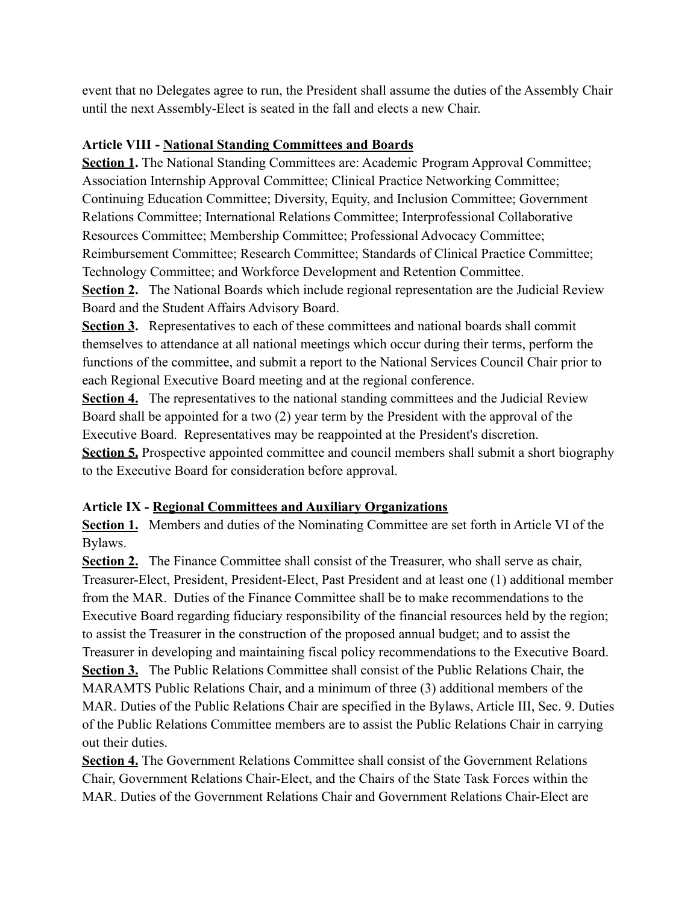event that no Delegates agree to run, the President shall assume the duties of the Assembly Chair until the next Assembly-Elect is seated in the fall and elects a new Chair.

### **Article VIII - National Standing Committees and Boards**

**Section 1.** The National Standing Committees are: Academic Program Approval Committee; Association Internship Approval Committee; Clinical Practice Networking Committee; Continuing Education Committee; Diversity, Equity, and Inclusion Committee; Government Relations Committee; International Relations Committee; Interprofessional Collaborative Resources Committee; Membership Committee; Professional Advocacy Committee; Reimbursement Committee; Research Committee; Standards of Clinical Practice Committee; Technology Committee; and Workforce Development and Retention Committee.

**Section 2.** The National Boards which include regional representation are the Judicial Review Board and the Student Affairs Advisory Board.

**Section 3.** Representatives to each of these committees and national boards shall commit themselves to attendance at all national meetings which occur during their terms, perform the functions of the committee, and submit a report to the National Services Council Chair prior to each Regional Executive Board meeting and at the regional conference.

**Section 4.** The representatives to the national standing committees and the Judicial Review Board shall be appointed for a two (2) year term by the President with the approval of the Executive Board. Representatives may be reappointed at the President's discretion. **Section 5.** Prospective appointed committee and council members shall submit a short biography to the Executive Board for consideration before approval.

### **Article IX - Regional Committees and Auxiliary Organizations**

**Section 1.** Members and duties of the Nominating Committee are set forth in Article VI of the Bylaws.

**Section 2.** The Finance Committee shall consist of the Treasurer, who shall serve as chair, Treasurer-Elect, President, President-Elect, Past President and at least one (1) additional member from the MAR. Duties of the Finance Committee shall be to make recommendations to the Executive Board regarding fiduciary responsibility of the financial resources held by the region; to assist the Treasurer in the construction of the proposed annual budget; and to assist the Treasurer in developing and maintaining fiscal policy recommendations to the Executive Board. **Section 3.** The Public Relations Committee shall consist of the Public Relations Chair, the MARAMTS Public Relations Chair, and a minimum of three (3) additional members of the MAR. Duties of the Public Relations Chair are specified in the Bylaws, Article III, Sec. 9. Duties of the Public Relations Committee members are to assist the Public Relations Chair in carrying out their duties.

**Section 4.** The Government Relations Committee shall consist of the Government Relations Chair, Government Relations Chair-Elect, and the Chairs of the State Task Forces within the MAR. Duties of the Government Relations Chair and Government Relations Chair-Elect are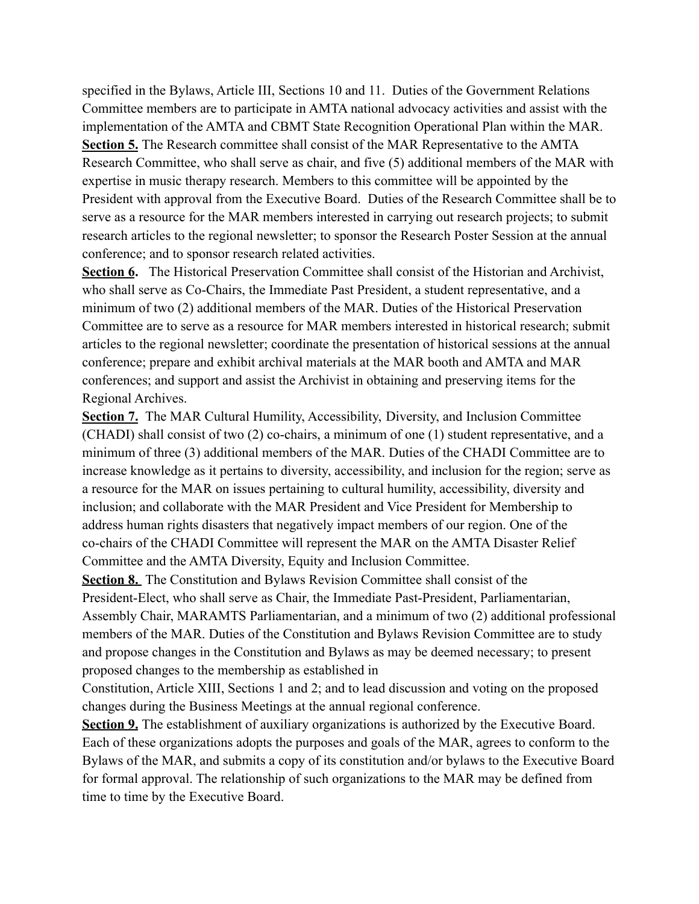specified in the Bylaws, Article III, Sections 10 and 11. Duties of the Government Relations Committee members are to participate in AMTA national advocacy activities and assist with the implementation of the AMTA and CBMT State Recognition Operational Plan within the MAR. **Section 5.** The Research committee shall consist of the MAR Representative to the AMTA Research Committee, who shall serve as chair, and five (5) additional members of the MAR with expertise in music therapy research. Members to this committee will be appointed by the President with approval from the Executive Board. Duties of the Research Committee shall be to serve as a resource for the MAR members interested in carrying out research projects; to submit research articles to the regional newsletter; to sponsor the Research Poster Session at the annual conference; and to sponsor research related activities.

Section 6. The Historical Preservation Committee shall consist of the Historian and Archivist, who shall serve as Co-Chairs, the Immediate Past President, a student representative, and a minimum of two (2) additional members of the MAR. Duties of the Historical Preservation Committee are to serve as a resource for MAR members interested in historical research; submit articles to the regional newsletter; coordinate the presentation of historical sessions at the annual conference; prepare and exhibit archival materials at the MAR booth and AMTA and MAR conferences; and support and assist the Archivist in obtaining and preserving items for the Regional Archives.

**Section 7.** The MAR Cultural Humility, Accessibility, Diversity, and Inclusion Committee (CHADI) shall consist of two (2) co-chairs, a minimum of one (1) student representative, and a minimum of three (3) additional members of the MAR. Duties of the CHADI Committee are to increase knowledge as it pertains to diversity, accessibility, and inclusion for the region; serve as a resource for the MAR on issues pertaining to cultural humility, accessibility, diversity and inclusion; and collaborate with the MAR President and Vice President for Membership to address human rights disasters that negatively impact members of our region. One of the co-chairs of the CHADI Committee will represent the MAR on the AMTA Disaster Relief Committee and the AMTA Diversity, Equity and Inclusion Committee.

**Section 8.** The Constitution and Bylaws Revision Committee shall consist of the President-Elect, who shall serve as Chair, the Immediate Past-President, Parliamentarian, Assembly Chair, MARAMTS Parliamentarian, and a minimum of two (2) additional professional members of the MAR. Duties of the Constitution and Bylaws Revision Committee are to study and propose changes in the Constitution and Bylaws as may be deemed necessary; to present proposed changes to the membership as established in

Constitution, Article XIII, Sections 1 and 2; and to lead discussion and voting on the proposed changes during the Business Meetings at the annual regional conference.

**Section 9.** The establishment of auxiliary organizations is authorized by the Executive Board. Each of these organizations adopts the purposes and goals of the MAR, agrees to conform to the Bylaws of the MAR, and submits a copy of its constitution and/or bylaws to the Executive Board for formal approval. The relationship of such organizations to the MAR may be defined from time to time by the Executive Board.